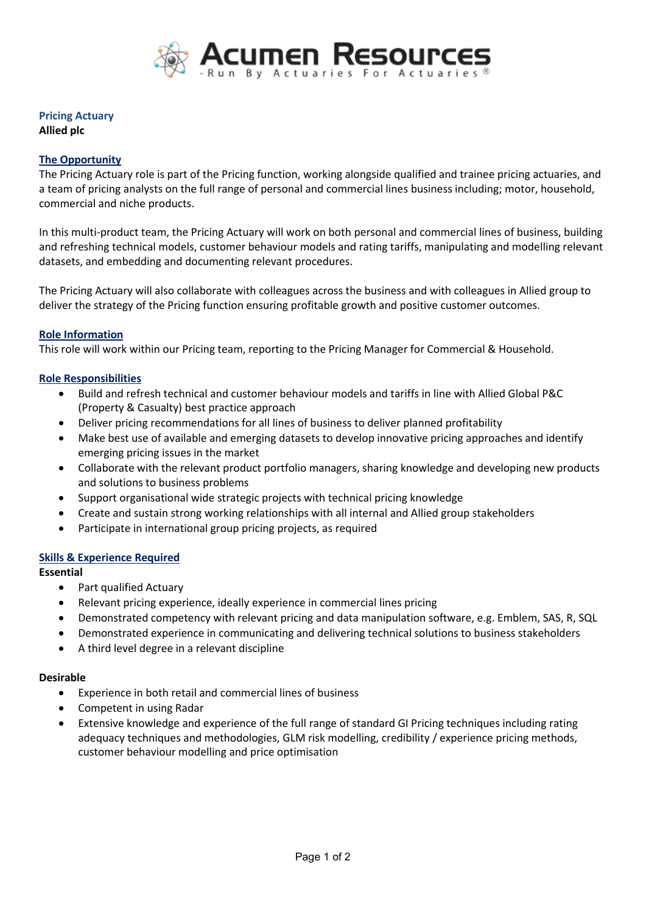

# **Pricing Actuary**

**Allied plc**

## **The Opportunity**

The Pricing Actuary role is part of the Pricing function, working alongside qualified and trainee pricing actuaries, and a team of pricing analysts on the full range of personal and commercial lines business including; motor, household, commercial and niche products.

In this multi-product team, the Pricing Actuary will work on both personal and commercial lines of business, building and refreshing technical models, customer behaviour models and rating tariffs, manipulating and modelling relevant datasets, and embedding and documenting relevant procedures.

The Pricing Actuary will also collaborate with colleagues across the business and with colleagues in Allied group to deliver the strategy of the Pricing function ensuring profitable growth and positive customer outcomes.

### **Role Information**

This role will work within our Pricing team, reporting to the Pricing Manager for Commercial & Household.

### **Role Responsibilities**

- Build and refresh technical and customer behaviour models and tariffsin line with Allied Global P&C (Property & Casualty) best practice approach
- Deliver pricing recommendations for all lines of business to deliver planned profitability
- Make best use of available and emerging datasets to develop innovative pricing approaches and identify emerging pricing issues in the market
- Collaborate with the relevant product portfolio managers, sharing knowledge and developing new products and solutions to business problems
- Support organisational wide strategic projects with technical pricing knowledge
- Create and sustain strong working relationships with all internal and Allied group stakeholders
- Participate in international group pricing projects, as required

### **Skills & Experience Required**

### **Essential**

- Part qualified Actuary
- Relevant pricing experience, ideally experience in commercial lines pricing
- Demonstrated competency with relevant pricing and data manipulation software, e.g. Emblem, SAS, R, SQL
- Demonstrated experience in communicating and delivering technical solutions to business stakeholders
- A third level degree in a relevant discipline

### **Desirable**

- Experience in both retail and commercial lines of business
- Competent in using Radar
- Extensive knowledge and experience of the full range of standard GI Pricing techniques including rating adequacy techniques and methodologies, GLM risk modelling, credibility / experience pricing methods, customer behaviour modelling and price optimisation